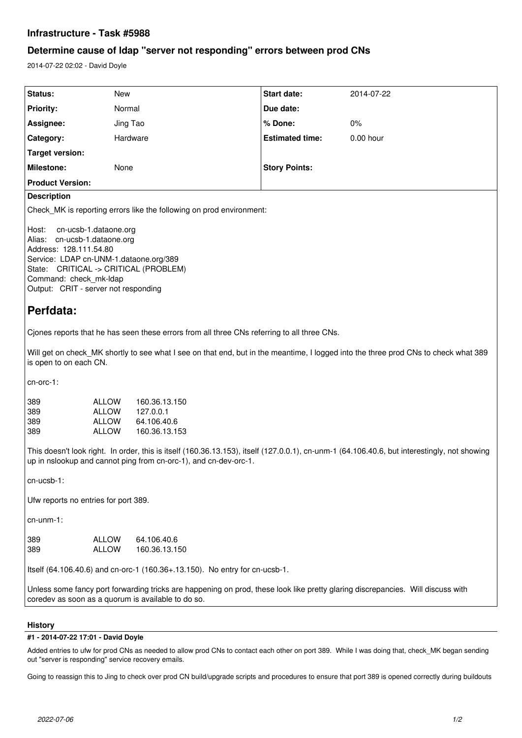## **Infrastructure - Task #5988**

## **Determine cause of ldap "server not responding" errors between prod CNs**

2014-07-22 02:02 - David Doyle

| Status:                 | New      | Start date:            | 2014-07-22  |  |
|-------------------------|----------|------------------------|-------------|--|
| <b>Priority:</b>        | Normal   | Due date:              |             |  |
| Assignee:               | Jing Tao | ⊩% Done:               | $0\%$       |  |
| Category:               | Hardware | <b>Estimated time:</b> | $0.00$ hour |  |
| Target version:         |          |                        |             |  |
| Milestone:              | None     | <b>Story Points:</b>   |             |  |
| <b>Product Version:</b> |          |                        |             |  |
| $\Gamma$                |          |                        |             |  |

### **Description**

Check\_MK is reporting errors like the following on prod environment:

Host: cn-ucsb-1.dataone.org Alias: cn-ucsb-1.dataone.org Address: 128.111.54.80 Service: LDAP cn-UNM-1.dataone.org/389 State: CRITICAL -> CRITICAL (PROBLEM) Command: check\_mk-ldap Output: CRIT - server not responding

# **Perfdata:**

Cjones reports that he has seen these errors from all three CNs referring to all three CNs.

Will get on check\_MK shortly to see what I see on that end, but in the meantime, I logged into the three prod CNs to check what 389 is open to on each CN.

cn-orc-1:

| 389 | ALLOW | 160.36.13.150 |
|-----|-------|---------------|
| 389 | ALLOW | 127.0.0.1     |
| 389 | ALLOW | 64.106.40.6   |
| 389 | ALLOW | 160.36.13.153 |

This doesn't look right. In order, this is itself (160.36.13.153), itself (127.0.0.1), cn-unm-1 (64.106.40.6, but interestingly, not showing up in nslookup and cannot ping from cn-orc-1), and cn-dev-orc-1.

cn-ucsb-1:

Ufw reports no entries for port 389.

cn-unm-1:

| 389 | ALLOW | 64.106.40.6   |
|-----|-------|---------------|
| 389 | ALLOW | 160.36.13.150 |

Itself (64.106.40.6) and cn-orc-1 (160.36+.13.150). No entry for cn-ucsb-1.

Unless some fancy port forwarding tricks are happening on prod, these look like pretty glaring discrepancies. Will discuss with coredev as soon as a quorum is available to do so.

### **History**

### **#1 - 2014-07-22 17:01 - David Doyle**

Added entries to ufw for prod CNs as needed to allow prod CNs to contact each other on port 389. While I was doing that, check\_MK began sending out "server is responding" service recovery emails.

Going to reassign this to Jing to check over prod CN build/upgrade scripts and procedures to ensure that port 389 is opened correctly during buildouts